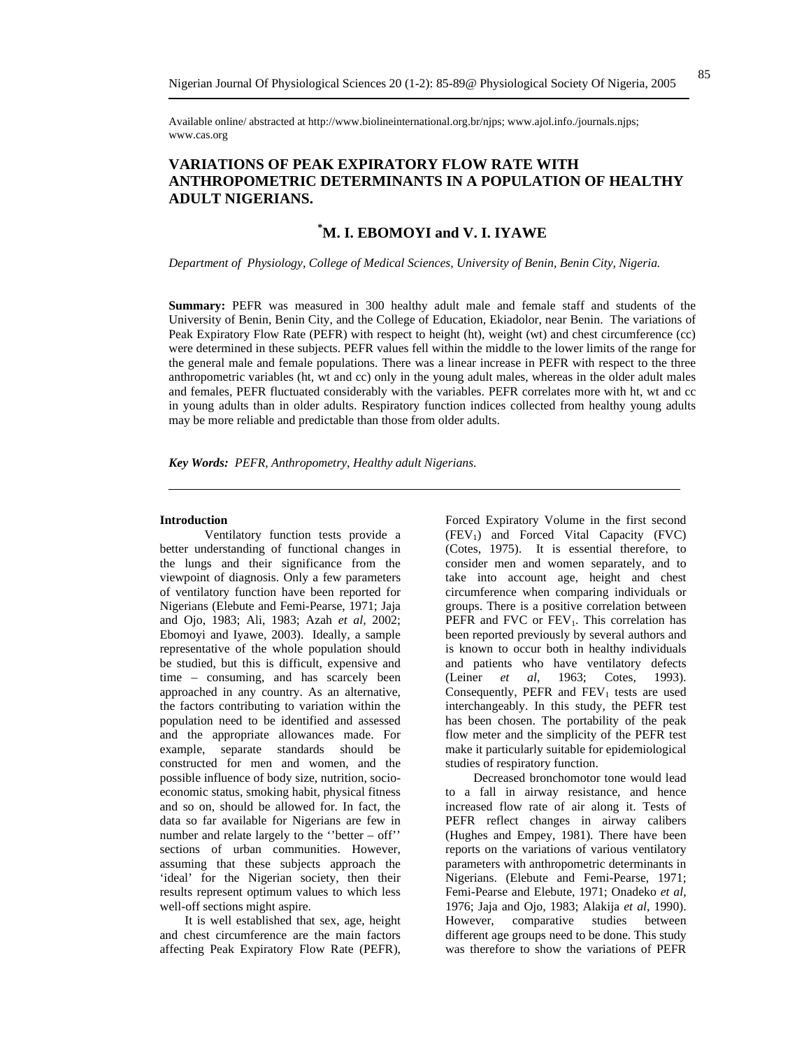Available online/ abstracted at http://www.biolineinternational.org.br/njps; www.ajol.info./journals.njps; www.cas.org

## **VARIATIONS OF PEAK EXPIRATORY FLOW RATE WITH ANTHROPOMETRIC DETERMINANTS IN A POPULATION OF HEALTHY ADULT NIGERIANS.**

# **\* M. I. EBOMOYI and V. I. IYAWE**

*Department of Physiology, College of Medical Sciences, University of Benin, Benin City, Nigeria.* 

**Summary:** PEFR was measured in 300 healthy adult male and female staff and students of the University of Benin, Benin City, and the College of Education, Ekiadolor, near Benin. The variations of Peak Expiratory Flow Rate (PEFR) with respect to height (ht), weight (wt) and chest circumference (cc) were determined in these subjects. PEFR values fell within the middle to the lower limits of the range for the general male and female populations. There was a linear increase in PEFR with respect to the three anthropometric variables (ht, wt and cc) only in the young adult males, whereas in the older adult males and females, PEFR fluctuated considerably with the variables. PEFR correlates more with ht, wt and cc in young adults than in older adults. Respiratory function indices collected from healthy young adults may be more reliable and predictable than those from older adults.

*Key Words: PEFR, Anthropometry, Healthy adult Nigerians.* 

## **Introduction**

Ventilatory function tests provide a better understanding of functional changes in the lungs and their significance from the viewpoint of diagnosis. Only a few parameters of ventilatory function have been reported for Nigerians (Elebute and Femi-Pearse, 1971; Jaja and Ojo, 1983; Ali, 1983; Azah *et al,* 2002; Ebomoyi and Iyawe, 2003). Ideally, a sample representative of the whole population should be studied, but this is difficult, expensive and time – consuming, and has scarcely been approached in any country. As an alternative, the factors contributing to variation within the population need to be identified and assessed and the appropriate allowances made. For example, separate standards should be constructed for men and women, and the possible influence of body size, nutrition, socioeconomic status, smoking habit, physical fitness and so on, should be allowed for. In fact, the data so far available for Nigerians are few in number and relate largely to the ''better – off'' sections of urban communities. However, assuming that these subjects approach the 'ideal' for the Nigerian society, then their results represent optimum values to which less well-off sections might aspire.

 It is well established that sex, age, height and chest circumference are the main factors affecting Peak Expiratory Flow Rate (PEFR),

Forced Expiratory Volume in the first second  $(FEV_1)$  and Forced Vital Capacity  $(FVC)$ (Cotes, 1975). It is essential therefore, to consider men and women separately, and to take into account age, height and chest circumference when comparing individuals or groups. There is a positive correlation between PEFR and FVC or  $FEV_1$ . This correlation has been reported previously by several authors and is known to occur both in healthy individuals and patients who have ventilatory defects (Leiner *et al*, 1963; Cotes, 1993). Consequently, PEFR and  $FEV_1$  tests are used interchangeably. In this study, the PEFR test has been chosen. The portability of the peak flow meter and the simplicity of the PEFR test make it particularly suitable for epidemiological studies of respiratory function.

Decreased bronchomotor tone would lead to a fall in airway resistance, and hence increased flow rate of air along it. Tests of PEFR reflect changes in airway calibers (Hughes and Empey, 1981). There have been reports on the variations of various ventilatory parameters with anthropometric determinants in Nigerians. (Elebute and Femi-Pearse, 1971; Femi-Pearse and Elebute, 1971; Onadeko *et al*, 1976; Jaja and Ojo, 1983; Alakija *et al*, 1990). However, comparative studies between different age groups need to be done. This study was therefore to show the variations of PEFR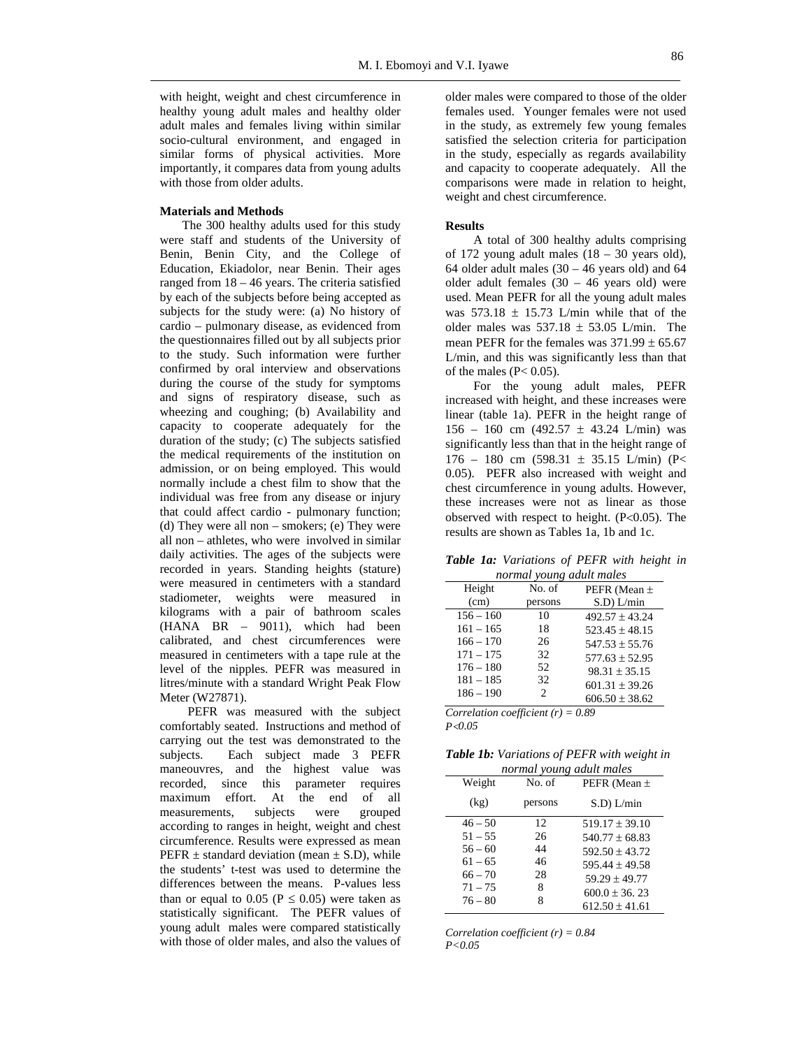with height, weight and chest circumference in healthy young adult males and healthy older adult males and females living within similar socio-cultural environment, and engaged in similar forms of physical activities. More importantly, it compares data from young adults with those from older adults.

## **Materials and Methods**

The 300 healthy adults used for this study were staff and students of the University of Benin, Benin City, and the College of Education, Ekiadolor, near Benin. Their ages ranged from 18 – 46 years. The criteria satisfied by each of the subjects before being accepted as subjects for the study were: (a) No history of cardio – pulmonary disease, as evidenced from the questionnaires filled out by all subjects prior to the study. Such information were further confirmed by oral interview and observations during the course of the study for symptoms and signs of respiratory disease, such as wheezing and coughing; (b) Availability and capacity to cooperate adequately for the duration of the study; (c) The subjects satisfied the medical requirements of the institution on admission, or on being employed. This would normally include a chest film to show that the individual was free from any disease or injury that could affect cardio - pulmonary function; (d) They were all non – smokers; (e) They were all non – athletes, who were involved in similar daily activities. The ages of the subjects were recorded in years. Standing heights (stature) were measured in centimeters with a standard stadiometer, weights were measured in kilograms with a pair of bathroom scales  $(HANA$  BR  $-$  9011), which had been calibrated, and chest circumferences were measured in centimeters with a tape rule at the level of the nipples. PEFR was measured in litres/minute with a standard Wright Peak Flow Meter (W27871).

PEFR was measured with the subject comfortably seated. Instructions and method of carrying out the test was demonstrated to the subjects. Each subject made 3 PEFR maneouvres, and the highest value was recorded, since this parameter requires maximum effort. At the end of all<br>measurements, subjects were grouped measurements, subjects were grouped according to ranges in height, weight and chest circumference. Results were expressed as mean PEFR  $\pm$  standard deviation (mean  $\pm$  S.D), while the students' t-test was used to determine the differences between the means. P-values less than or equal to 0.05 ( $P \le 0.05$ ) were taken as statistically significant. The PEFR values of young adult males were compared statistically with those of older males, and also the values of

older males were compared to those of the older females used. Younger females were not used in the study, as extremely few young females satisfied the selection criteria for participation in the study, especially as regards availability and capacity to cooperate adequately. All the comparisons were made in relation to height, weight and chest circumference.

#### **Results**

A total of 300 healthy adults comprising of 172 young adult males  $(18 - 30$  years old), 64 older adult males  $(30 - 46$  years old) and 64 older adult females  $(30 - 46$  years old) were used. Mean PEFR for all the young adult males was  $573.18 \pm 15.73$  L/min while that of the older males was  $537.18 \pm 53.05$  L/min. The mean PEFR for the females was  $371.99 \pm 65.67$ L/min, and this was significantly less than that of the males  $(P< 0.05)$ .

For the young adult males, PEFR increased with height, and these increases were linear (table 1a). PEFR in the height range of  $156 - 160$  cm  $(492.57 \pm 43.24$  L/min) was significantly less than that in the height range of  $176 - 180$  cm  $(598.31 \pm 35.15)$  L/min) (P< 0.05). PEFR also increased with weight and chest circumference in young adults. However, these increases were not as linear as those observed with respect to height. (P<0.05). The results are shown as Tables 1a, 1b and 1c.

|                          |  | <b>Table 1a:</b> Variations of PEFR with height in |  |  |  |  |
|--------------------------|--|----------------------------------------------------|--|--|--|--|
| normal young adult males |  |                                                    |  |  |  |  |

| Height      | No. of  | PEFR (Mean $\pm$   |
|-------------|---------|--------------------|
| (cm)        | persons | $S.D$ ) $L/min$    |
| $156 - 160$ | 10      | $492.57 \pm 43.24$ |
| $161 - 165$ | 18      | $523.45 \pm 48.15$ |
| $166 - 170$ | 26      | $547.53 \pm 55.76$ |
| $171 - 175$ | 32      | $577.63 \pm 52.95$ |
| $176 - 180$ | 52      | $98.31 \pm 35.15$  |
| $181 - 185$ | 32      | $601.31 \pm 39.26$ |
| $186 - 190$ | 2       | $606.50 \pm 38.62$ |
|             |         |                    |

*Correlation coefficient (r) = 0.89 P*<*0.05*

| Table 1b: Variations of PEFR with weight in |  |  |
|---------------------------------------------|--|--|
|                                             |  |  |

| normal young adult males |         |                    |  |  |
|--------------------------|---------|--------------------|--|--|
| Weight                   | No. of  | PEFR (Mean $\pm$   |  |  |
| (kg)                     | persons | $S.D$ ) $L/min$    |  |  |
| $46 - 50$                | 12      | $519.17 \pm 39.10$ |  |  |
| $51 - 55$                | 26      | $540.77 + 68.83$   |  |  |
| $56 - 60$                | 44      | $592.50 \pm 43.72$ |  |  |
| $61 - 65$                | 46      | $595.44 + 49.58$   |  |  |
| $66 - 70$                | 28      | $59.29 \pm 49.77$  |  |  |
| $71 - 75$                | 8       | $600.0 \pm 36.23$  |  |  |
| $76 - 80$                | 8       | $612.50 \pm 41.61$ |  |  |

*Correlation coefficient (r) = 0.84 P<0.05*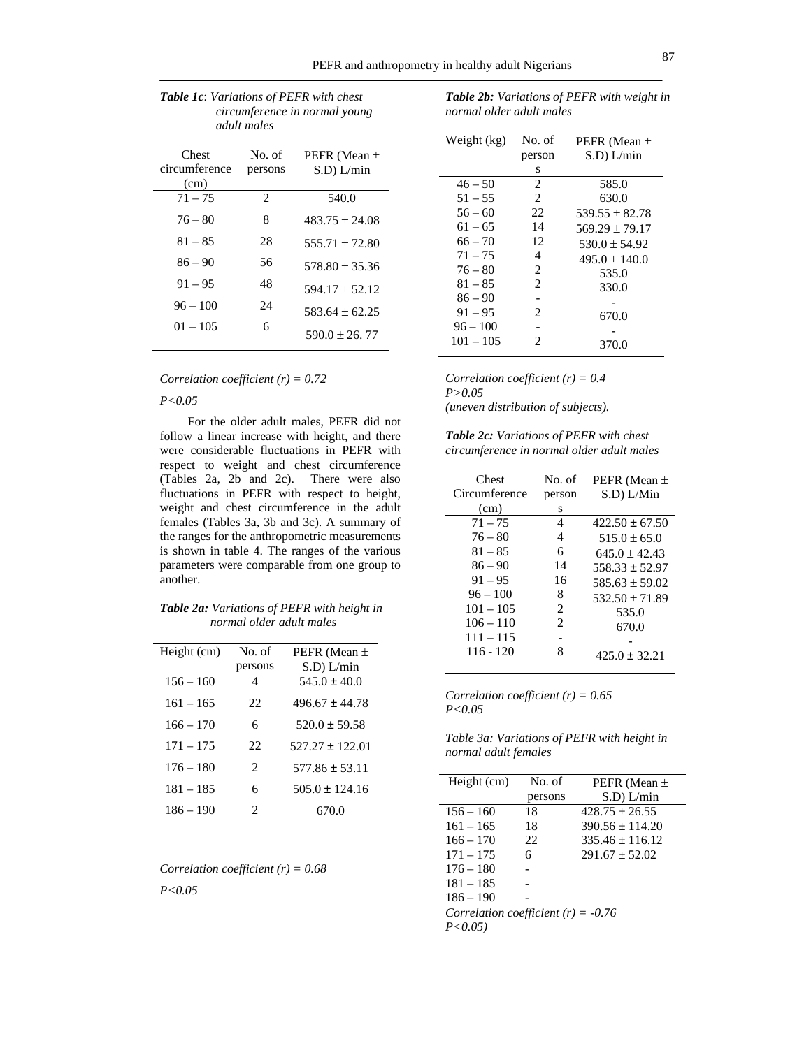| аами такег    |                |                    |
|---------------|----------------|--------------------|
| Chest         | No. of         | PEFR (Mean $\pm$   |
| circumference | persons        | $S.D$ ) $L/min$    |
| (cm)          |                |                    |
| $71 - 75$     | $\overline{2}$ | 540.0              |
| $76 - 80$     | 8              | $483.75 + 24.08$   |
| $81 - 85$     | 28             | $555.71 \pm 72.80$ |
| $86 - 90$     | 56             | $578.80 \pm 35.36$ |
| $91 - 95$     | 48             | $594.17 \pm 52.12$ |
| $96 - 100$    | 24             | $583.64 \pm 62.25$ |
| $01 - 105$    | 6              | $590.0 \pm 26.77$  |

| <b>Table 1c:</b> Variations of PEFR with chest |
|------------------------------------------------|
| circumference in normal young                  |
| adult males                                    |

*Correlation coefficient (r) = 0.72* 

*P<0.05* 

For the older adult males, PEFR did not follow a linear increase with height, and there were considerable fluctuations in PEFR with respect to weight and chest circumference (Tables 2a, 2b and 2c). There were also fluctuations in PEFR with respect to height, weight and chest circumference in the adult females (Tables 3a, 3b and 3c). A summary of the ranges for the anthropometric measurements is shown in table 4. The ranges of the various parameters were comparable from one group to another.

| <b>Table 2a:</b> Variations of PEFR with height in |
|----------------------------------------------------|
| normal older adult males                           |

| No. of                      | PEFR (Mean $\pm$    |
|-----------------------------|---------------------|
| persons                     | $S.D$ ) $L/min$     |
| 4                           | $545.0 \pm 40.0$    |
| 22                          | $496.67 \pm 44.78$  |
| 6                           | $520.0 \pm 59.58$   |
| 22                          | $527.27 \pm 122.01$ |
| $\mathcal{D}_{\mathcal{L}}$ | $577.86 \pm 53.11$  |
| 6                           | $505.0 + 124.16$    |
| $\mathcal{D}_{\mathcal{L}}$ | 670.0               |
|                             |                     |

*Correlation coefficient (r) = 0.68 P<0.05*

| <b>Table 2b:</b> Variations of PEFR with weight in |
|----------------------------------------------------|
| normal older adult males                           |

| Weight (kg) | No. of                      | PEFR (Mean $\pm$   |
|-------------|-----------------------------|--------------------|
|             | person                      | $S.D$ ) $L/min$    |
|             | s                           |                    |
| $46 - 50$   | 2                           | 585.0              |
| $51 - 55$   | $\overline{c}$              | 630.0              |
| $56 - 60$   | 22                          | $539.55 + 82.78$   |
| $61 - 65$   | 14                          | $569.29 \pm 79.17$ |
| $66 - 70$   | 12                          | $530.0 \pm 54.92$  |
| $71 - 75$   | $\overline{4}$              | $495.0 \pm 140.0$  |
| $76 - 80$   | 2                           | 535.0              |
| $81 - 85$   | $\mathfrak{2}$              | 330.0              |
| $86 - 90$   |                             |                    |
| $91 - 95$   | $\mathcal{D}_{\mathcal{L}}$ | 670.0              |
| $96 - 100$  |                             |                    |
| $101 - 105$ | $\mathcal{D}_{\mathcal{L}}$ | 370.0              |
|             |                             |                    |

*Correlation coefficient (r) = 0.4 P>0.05 (uneven distribution of subjects).* 

*Table 2c: Variations of PEFR with chest circumference in normal older adult males* 

| Chest         | No. of             | PEFR (Mean $\pm$   |
|---------------|--------------------|--------------------|
| Circumference | person             | S.D) L/Min         |
| (cm)          | S                  |                    |
| $71 - 75$     | 4                  | $422.50 \pm 67.50$ |
| $76 - 80$     | 4                  | $515.0 \pm 65.0$   |
| $81 - 85$     | 6                  | $645.0 + 42.43$    |
| $86 - 90$     | 14                 | $558.33 \pm 52.97$ |
| $91 - 95$     | 16                 | $585.63 \pm 59.02$ |
| $96 - 100$    | 8                  | $532.50 \pm 71.89$ |
| $101 - 105$   | $\mathfrak{D}_{1}$ | 535.0              |
| $106 - 110$   | $\mathfrak{D}$     | 670.0              |
| $111 - 115$   |                    |                    |
| $116 - 120$   | 8                  | $425.0 + 32.21$    |
|               |                    |                    |

*Correlation coefficient (r) = 0.65 P<0.05* 

*Table 3a: Variations of PEFR with height in normal adult females*

| Height (cm)                           | No. of  | PEFR (Mean $\pm$    |  |
|---------------------------------------|---------|---------------------|--|
|                                       | persons | $S.D$ ) $L/min$     |  |
| $156 - 160$                           | 18      | $428.75 + 26.55$    |  |
| $161 - 165$                           | 18      | $390.56 \pm 114.20$ |  |
| $166 - 170$                           | 22.     | $335.46 \pm 116.12$ |  |
| $171 - 175$                           | 6       | $291.67 + 52.02$    |  |
| $176 - 180$                           |         |                     |  |
| $181 - 185$                           |         |                     |  |
| $186 - 190$                           |         |                     |  |
| Correlation coefficient $(r) = -0.76$ |         |                     |  |

*P<0.05)*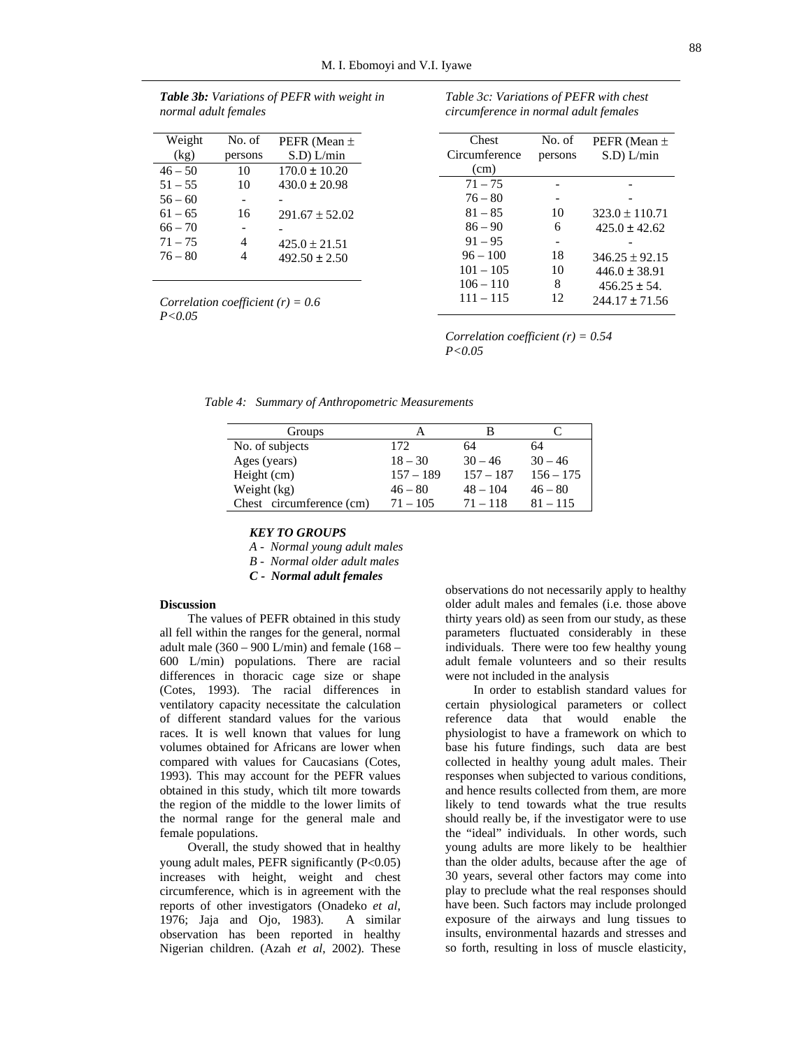| non mar aann jemanes |         |                    |
|----------------------|---------|--------------------|
| Weight               | No. of  | PEFR (Mean $\pm$   |
| (kg)                 | persons | $S.D$ ) $L/min$    |
| $46 - 50$            | 10      | $170.0 \pm 10.20$  |
| $51 - 55$            | 10      | $430.0 \pm 20.98$  |
| $56 - 60$            |         |                    |
| $61 - 65$            | 16      | $291.67 \pm 52.02$ |
| $66 - 70$            |         |                    |
| $71 - 75$            | 4       | $425.0 \pm 21.51$  |
| $76 - 80$            |         | $492.50 \pm 2.50$  |
|                      |         |                    |

*Table 3b: Variations of PEFR with weight in normal adult females*

*Correlation coefficient (r) = 0.6 P<0.05* 

| No. of  | PEFR (Mean $\pm$   |
|---------|--------------------|
| persons | $S.D$ ) $L/min$    |
|         |                    |
|         |                    |
|         |                    |
| 10      | $323.0 \pm 110.71$ |
| 6       | $425.0 \pm 42.62$  |
|         |                    |
| 18      | $346.25 \pm 92.15$ |
| 10      | $446.0 \pm 38.91$  |
| 8       | $456.25 \pm 54.$   |
| 12      | $244.17 \pm 71.56$ |
|         |                    |

*Table 3c: Variations of PEFR with chest circumference in normal adult females* 

*Correlation coefficient (r) = 0.54 P<0.05*

*Table 4: Summary of Anthropometric Measurements*

| Groups                   |             | в           |             |
|--------------------------|-------------|-------------|-------------|
| No. of subjects          | 172         | 64          | 64          |
| Ages (years)             | $18 - 30$   | $30 - 46$   | $30 - 46$   |
| Height (cm)              | $157 - 189$ | $157 - 187$ | $156 - 175$ |
| Weight (kg)              | $46 - 80$   | $48 - 104$  | $46 - 80$   |
| Chest circumference (cm) | $71 - 105$  | $71 - 118$  | $81 - 115$  |

## *KEY TO GROUPS*

*A - Normal young adult males* 

*B - Normal older adult males* 

*C - Normal adult females*

## **Discussion**

The values of PEFR obtained in this study all fell within the ranges for the general, normal adult male  $(360 - 900)$  L/min) and female  $(168 -$ 600 L/min) populations. There are racial differences in thoracic cage size or shape (Cotes, 1993). The racial differences in ventilatory capacity necessitate the calculation of different standard values for the various races. It is well known that values for lung volumes obtained for Africans are lower when compared with values for Caucasians (Cotes, 1993). This may account for the PEFR values obtained in this study, which tilt more towards the region of the middle to the lower limits of the normal range for the general male and female populations.

Overall, the study showed that in healthy young adult males, PEFR significantly (P<0.05) increases with height, weight and chest circumference, which is in agreement with the reports of other investigators (Onadeko *et al*, 1976; Jaja and Ojo, 1983). A similar observation has been reported in healthy Nigerian children. (Azah *et al*, 2002). These

observations do not necessarily apply to healthy older adult males and females (i.e. those above thirty years old) as seen from our study, as these parameters fluctuated considerably in these individuals. There were too few healthy young adult female volunteers and so their results were not included in the analysis

In order to establish standard values for certain physiological parameters or collect reference data that would enable the physiologist to have a framework on which to base his future findings, such data are best collected in healthy young adult males. Their responses when subjected to various conditions, and hence results collected from them, are more likely to tend towards what the true results should really be, if the investigator were to use the "ideal" individuals. In other words, such young adults are more likely to be healthier than the older adults, because after the age of 30 years, several other factors may come into play to preclude what the real responses should have been. Such factors may include prolonged exposure of the airways and lung tissues to insults, environmental hazards and stresses and so forth, resulting in loss of muscle elasticity,